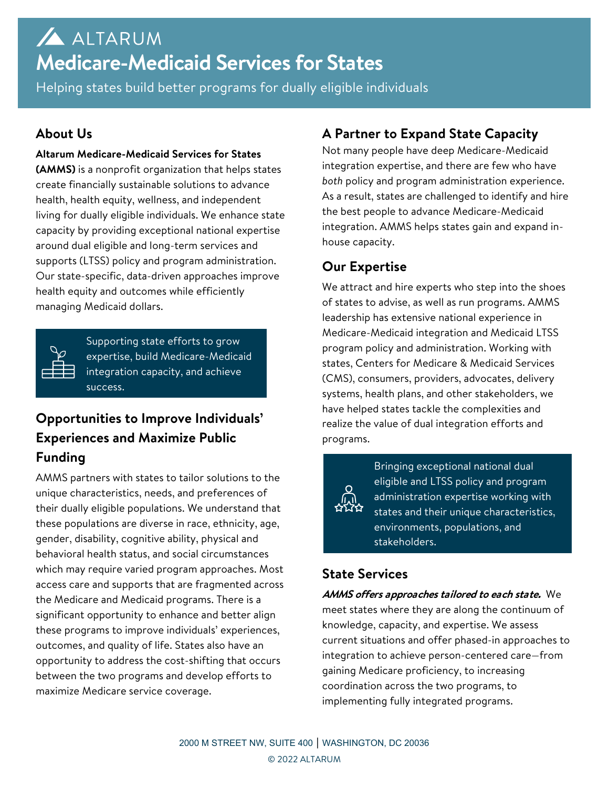# ALTARUM **Medicare-Medicaid Services for States**

Helping states build better programs for dually eligible individuals

### **About Us**

#### **Altarum Medicare-Medicaid Services for States**

**(AMMS)** is a nonprofit organization that helps states create financially sustainable solutions to advance health, health equity, wellness, and independent living for dually eligible individuals. We enhance state capacity by providing exceptional national expertise around dual eligible and long-term services and supports (LTSS) policy and program administration. Our state-specific, data-driven approaches improve health equity and outcomes while efficiently managing Medicaid dollars.

| and the state of the state of the state of the state of the state of the state of the state of the state of th<br>___ | π |
|-----------------------------------------------------------------------------------------------------------------------|---|
|                                                                                                                       |   |
|                                                                                                                       |   |

Supporting state efforts to grow expertise, build Medicare-Medicaid integration capacity, and achieve success.

# **Opportunities to Improve Individuals' Experiences and Maximize Public Funding**

AMMS partners with states to tailor solutions to the unique characteristics, needs, and preferences of their dually eligible populations. We understand that these populations are diverse in race, ethnicity, age, gender, disability, cognitive ability, physical and behavioral health status, and social circumstances which may require varied program approaches. Most access care and supports that are fragmented across the Medicare and Medicaid programs. There is a significant opportunity to enhance and better align these programs to improve individuals' experiences, outcomes, and quality of life. States also have an opportunity to address the cost-shifting that occurs between the two programs and develop efforts to maximize Medicare service coverage.

# **A Partner to Expand State Capacity**

Not many people have deep Medicare-Medicaid integration expertise, and there are few who have *both* policy and program administration experience. As a result, states are challenged to identify and hire the best people to advance Medicare-Medicaid integration. AMMS helps states gain and expand inhouse capacity.

## **Our Expertise**

We attract and hire experts who step into the shoes of states to advise, as well as run programs. AMMS leadership has extensive national experience in Medicare-Medicaid integration and Medicaid LTSS program policy and administration. Working with states, Centers for Medicare & Medicaid Services (CMS), consumers, providers, advocates, delivery systems, health plans, and other stakeholders, we have helped states tackle the complexities and realize the value of dual integration efforts and programs.



Bringing exceptional national dual eligible and LTSS policy and program administration expertise working with states and their unique characteristics, environments, populations, and stakeholders.

# **State Services**

**AMMS offers approaches tailored to each state.** We meet states where they are along the continuum of knowledge, capacity, and expertise. We assess current situations and offer phased-in approaches to integration to achieve person-centered care—from gaining Medicare proficiency, to increasing coordination across the two programs, to implementing fully integrated programs.